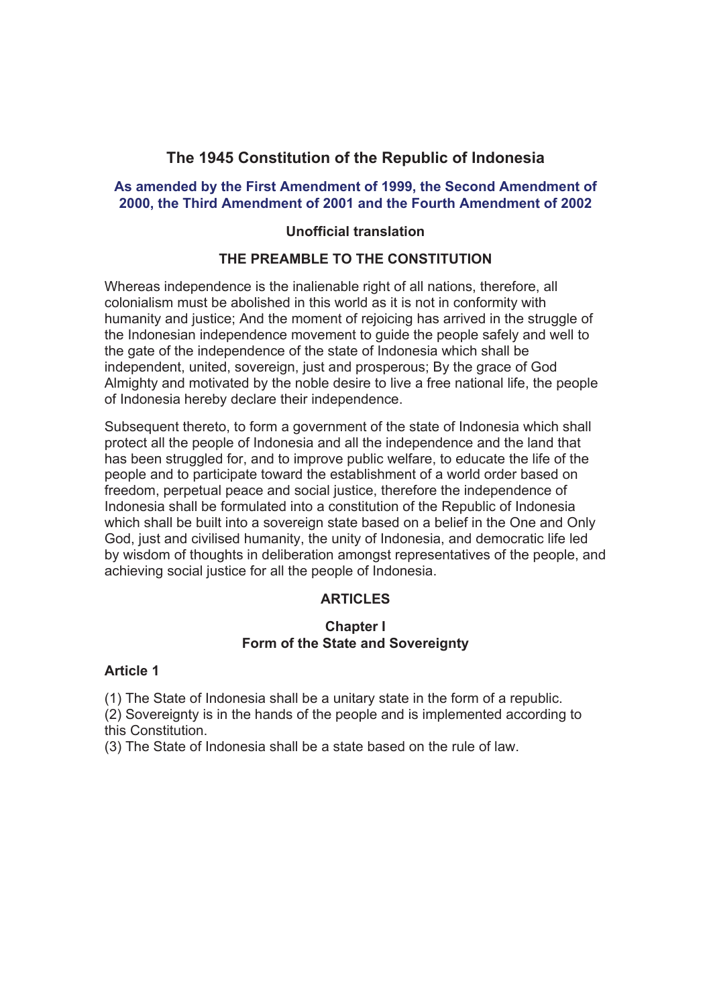# **The 1945 Constitution of the Republic of Indonesia**

### **As amended by the First Amendment of 1999, the Second Amendment of 2000, the Third Amendment of 2001 and the Fourth Amendment of 2002**

#### **Unofficial translation**

## **THE PREAMBLE TO THE CONSTITUTION**

Whereas independence is the inalienable right of all nations, therefore, all colonialism must be abolished in this world as it is not in conformity with humanity and justice; And the moment of rejoicing has arrived in the struggle of the Indonesian independence movement to guide the people safely and well to the gate of the independence of the state of Indonesia which shall be independent, united, sovereign, just and prosperous; By the grace of God Almighty and motivated by the noble desire to live a free national life, the people of Indonesia hereby declare their independence.

Subsequent thereto, to form a government of the state of Indonesia which shall protect all the people of Indonesia and all the independence and the land that has been struggled for, and to improve public welfare, to educate the life of the people and to participate toward the establishment of a world order based on freedom, perpetual peace and social justice, therefore the independence of Indonesia shall be formulated into a constitution of the Republic of Indonesia which shall be built into a sovereign state based on a belief in the One and Only God, just and civilised humanity, the unity of Indonesia, and democratic life led by wisdom of thoughts in deliberation amongst representatives of the people, and achieving social justice for all the people of Indonesia.

### **ARTICLES**

#### **Chapter I Form of the State and Sovereignty**

#### **Article 1**

(1) The State of Indonesia shall be a unitary state in the form of a republic.

(2) Sovereignty is in the hands of the people and is implemented according to this Constitution.

(3) The State of Indonesia shall be a state based on the rule of law.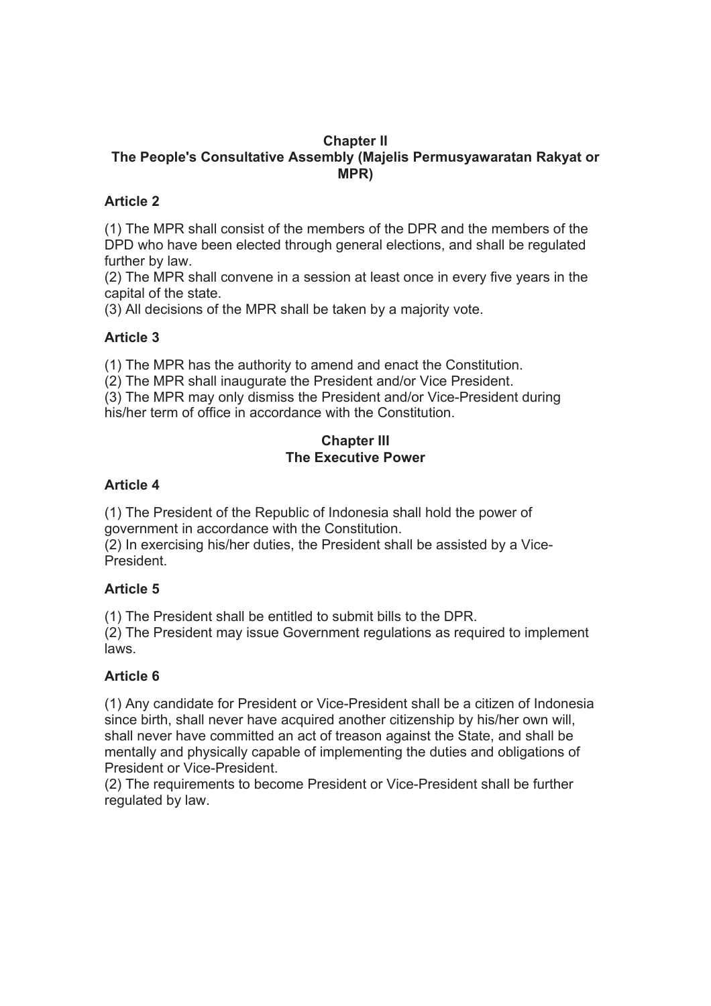### **Chapter II The People's Consultative Assembly (Majelis Permusyawaratan Rakyat or MPR)**

## **Article 2**

(1) The MPR shall consist of the members of the DPR and the members of the DPD who have been elected through general elections, and shall be regulated further by law.

(2) The MPR shall convene in a session at least once in every five years in the capital of the state.

(3) All decisions of the MPR shall be taken by a majority vote.

### **Article 3**

(1) The MPR has the authority to amend and enact the Constitution.

(2) The MPR shall inaugurate the President and/or Vice President.

(3) The MPR may only dismiss the President and/or Vice-President during his/her term of office in accordance with the Constitution.

## **Chapter III The Executive Power**

### **Article 4**

(1) The President of the Republic of Indonesia shall hold the power of government in accordance with the Constitution.

(2) In exercising his/her duties, the President shall be assisted by a Vice-President.

### **Article 5**

(1) The President shall be entitled to submit bills to the DPR.

(2) The President may issue Government regulations as required to implement laws.

### **Article 6**

(1) Any candidate for President or Vice-President shall be a citizen of Indonesia since birth, shall never have acquired another citizenship by his/her own will, shall never have committed an act of treason against the State, and shall be mentally and physically capable of implementing the duties and obligations of President or Vice-President.

(2) The requirements to become President or Vice-President shall be further regulated by law.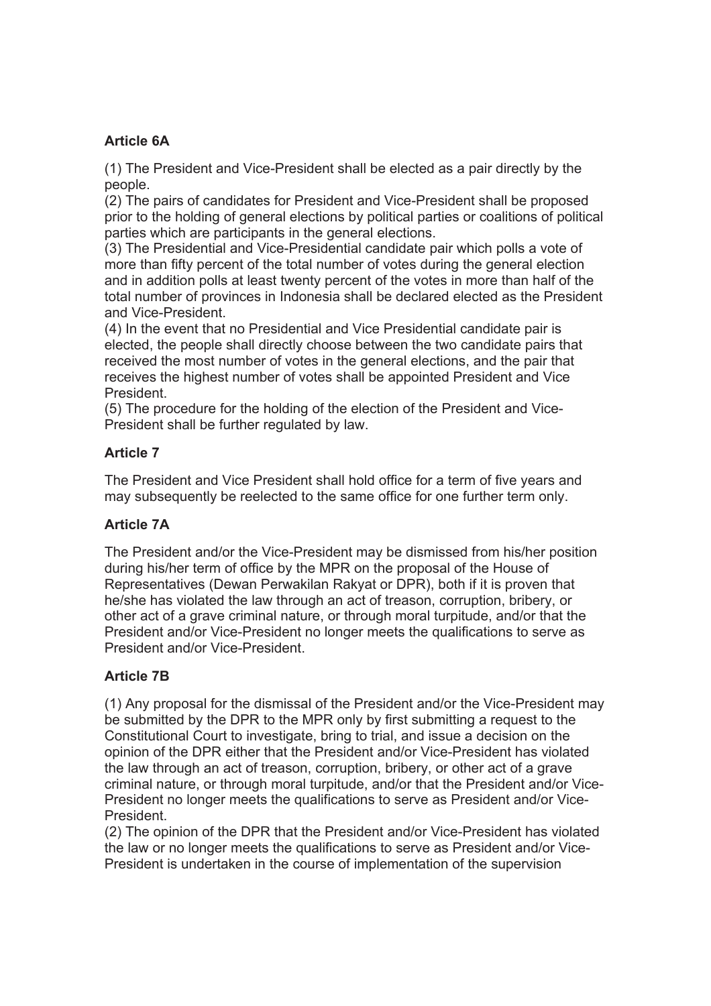# **Article 6A**

(1) The President and Vice-President shall be elected as a pair directly by the people.

(2) The pairs of candidates for President and Vice-President shall be proposed prior to the holding of general elections by political parties or coalitions of political parties which are participants in the general elections.

(3) The Presidential and Vice-Presidential candidate pair which polls a vote of more than fifty percent of the total number of votes during the general election and in addition polls at least twenty percent of the votes in more than half of the total number of provinces in Indonesia shall be declared elected as the President and Vice-President.

(4) In the event that no Presidential and Vice Presidential candidate pair is elected, the people shall directly choose between the two candidate pairs that received the most number of votes in the general elections, and the pair that receives the highest number of votes shall be appointed President and Vice **President** 

(5) The procedure for the holding of the election of the President and Vice-President shall be further regulated by law.

## **Article 7**

The President and Vice President shall hold office for a term of five years and may subsequently be reelected to the same office for one further term only.

### **Article 7A**

The President and/or the Vice-President may be dismissed from his/her position during his/her term of office by the MPR on the proposal of the House of Representatives (Dewan Perwakilan Rakyat or DPR), both if it is proven that he/she has violated the law through an act of treason, corruption, bribery, or other act of a grave criminal nature, or through moral turpitude, and/or that the President and/or Vice-President no longer meets the qualifications to serve as President and/or Vice-President.

# **Article 7B**

(1) Any proposal for the dismissal of the President and/or the Vice-President may be submitted by the DPR to the MPR only by first submitting a request to the Constitutional Court to investigate, bring to trial, and issue a decision on the opinion of the DPR either that the President and/or Vice-President has violated the law through an act of treason, corruption, bribery, or other act of a grave criminal nature, or through moral turpitude, and/or that the President and/or Vice-President no longer meets the qualifications to serve as President and/or Vice-President.

(2) The opinion of the DPR that the President and/or Vice-President has violated the law or no longer meets the qualifications to serve as President and/or Vice-President is undertaken in the course of implementation of the supervision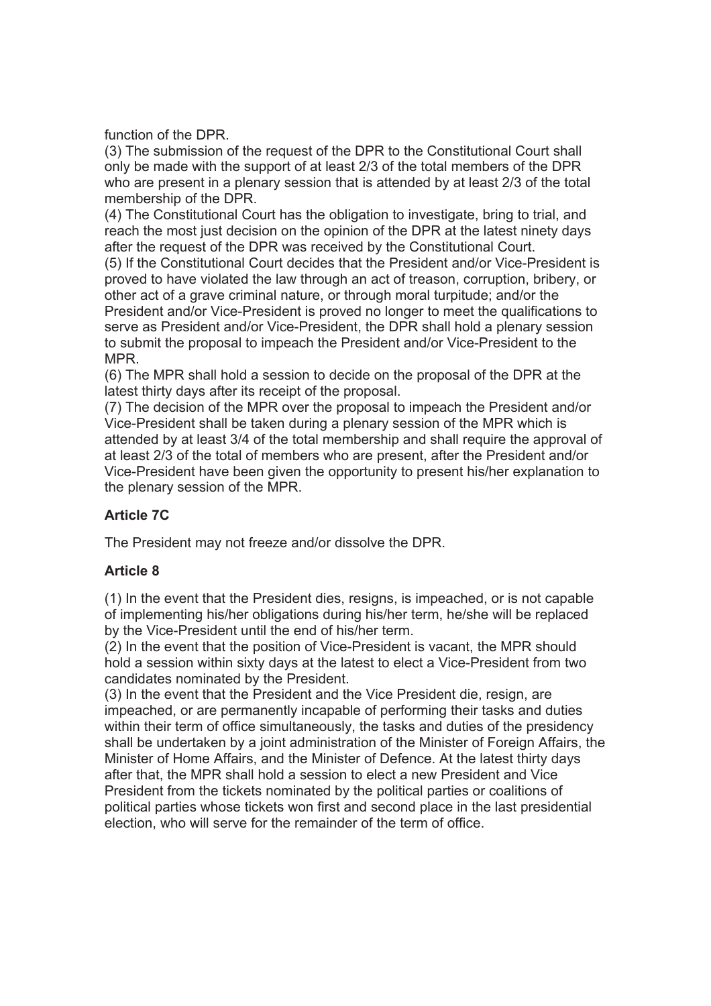function of the DPR.

(3) The submission of the request of the DPR to the Constitutional Court shall only be made with the support of at least 2/3 of the total members of the DPR who are present in a plenary session that is attended by at least 2/3 of the total membership of the DPR.

(4) The Constitutional Court has the obligation to investigate, bring to trial, and reach the most just decision on the opinion of the DPR at the latest ninety days after the request of the DPR was received by the Constitutional Court. (5) If the Constitutional Court decides that the President and/or Vice-President is proved to have violated the law through an act of treason, corruption, bribery, or other act of a grave criminal nature, or through moral turpitude; and/or the President and/or Vice-President is proved no longer to meet the qualifications to serve as President and/or Vice-President, the DPR shall hold a plenary session

to submit the proposal to impeach the President and/or Vice-President to the MPR.

(6) The MPR shall hold a session to decide on the proposal of the DPR at the latest thirty days after its receipt of the proposal.

(7) The decision of the MPR over the proposal to impeach the President and/or Vice-President shall be taken during a plenary session of the MPR which is attended by at least 3/4 of the total membership and shall require the approval of at least 2/3 of the total of members who are present, after the President and/or Vice-President have been given the opportunity to present his/her explanation to the plenary session of the MPR.

# **Article 7C**

The President may not freeze and/or dissolve the DPR.

### **Article 8**

(1) In the event that the President dies, resigns, is impeached, or is not capable of implementing his/her obligations during his/her term, he/she will be replaced by the Vice-President until the end of his/her term.

(2) In the event that the position of Vice-President is vacant, the MPR should hold a session within sixty days at the latest to elect a Vice-President from two candidates nominated by the President.

(3) In the event that the President and the Vice President die, resign, are impeached, or are permanently incapable of performing their tasks and duties within their term of office simultaneously, the tasks and duties of the presidency shall be undertaken by a joint administration of the Minister of Foreign Affairs, the Minister of Home Affairs, and the Minister of Defence. At the latest thirty days after that, the MPR shall hold a session to elect a new President and Vice President from the tickets nominated by the political parties or coalitions of political parties whose tickets won first and second place in the last presidential election, who will serve for the remainder of the term of office.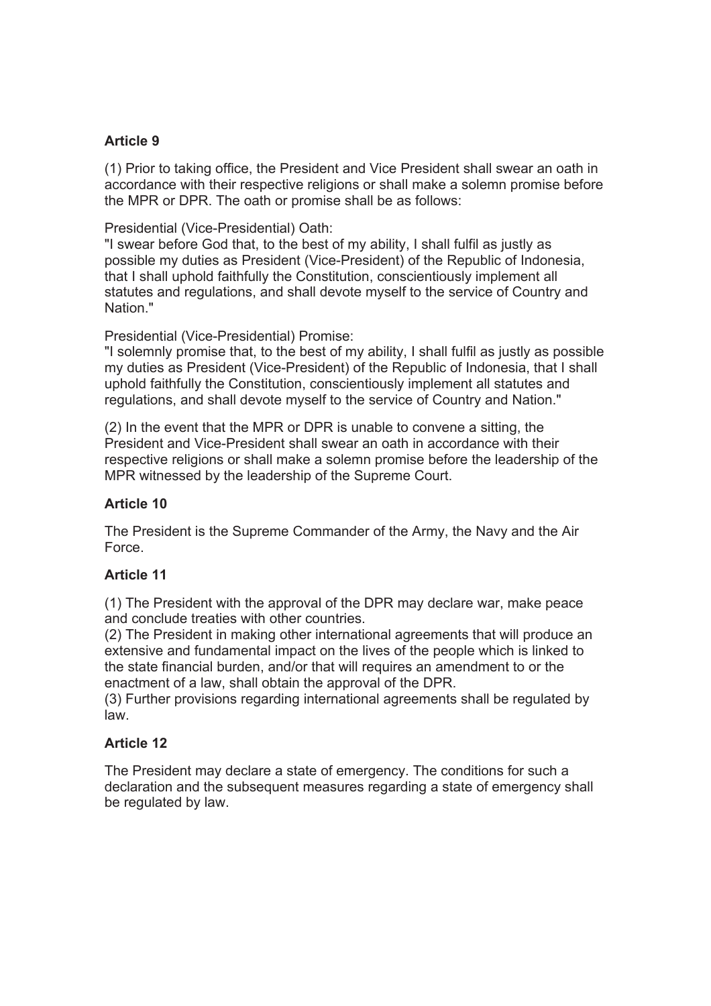### **Article 9**

(1) Prior to taking office, the President and Vice President shall swear an oath in accordance with their respective religions or shall make a solemn promise before the MPR or DPR. The oath or promise shall be as follows:

Presidential (Vice-Presidential) Oath:

"I swear before God that, to the best of my ability, I shall fulfil as justly as possible my duties as President (Vice-President) of the Republic of Indonesia, that I shall uphold faithfully the Constitution, conscientiously implement all statutes and regulations, and shall devote myself to the service of Country and Nation."

Presidential (Vice-Presidential) Promise:

"I solemnly promise that, to the best of my ability, I shall fulfil as justly as possible my duties as President (Vice-President) of the Republic of Indonesia, that I shall uphold faithfully the Constitution, conscientiously implement all statutes and regulations, and shall devote myself to the service of Country and Nation."

(2) In the event that the MPR or DPR is unable to convene a sitting, the President and Vice-President shall swear an oath in accordance with their respective religions or shall make a solemn promise before the leadership of the MPR witnessed by the leadership of the Supreme Court.

### **Article 10**

The President is the Supreme Commander of the Army, the Navy and the Air Force.

### **Article 11**

(1) The President with the approval of the DPR may declare war, make peace and conclude treaties with other countries.

(2) The President in making other international agreements that will produce an extensive and fundamental impact on the lives of the people which is linked to the state financial burden, and/or that will requires an amendment to or the enactment of a law, shall obtain the approval of the DPR.

(3) Further provisions regarding international agreements shall be regulated by law.

#### **Article 12**

The President may declare a state of emergency. The conditions for such a declaration and the subsequent measures regarding a state of emergency shall be regulated by law.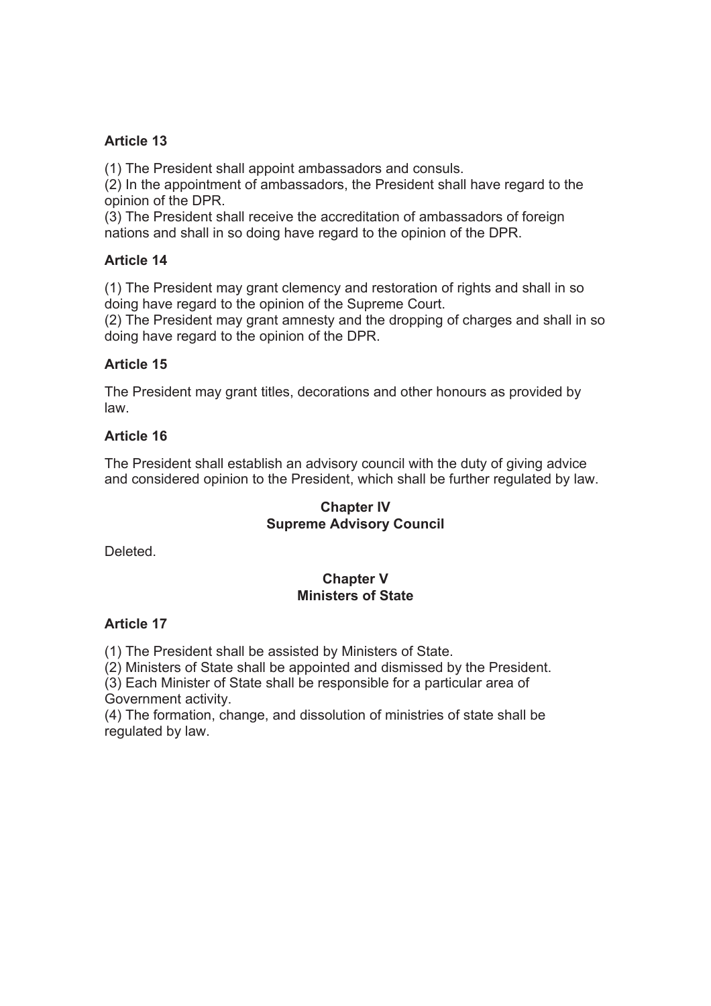### **Article 13**

(1) The President shall appoint ambassadors and consuls.

(2) In the appointment of ambassadors, the President shall have regard to the opinion of the DPR.

(3) The President shall receive the accreditation of ambassadors of foreign nations and shall in so doing have regard to the opinion of the DPR.

### **Article 14**

(1) The President may grant clemency and restoration of rights and shall in so doing have regard to the opinion of the Supreme Court.

(2) The President may grant amnesty and the dropping of charges and shall in so doing have regard to the opinion of the DPR.

### **Article 15**

The President may grant titles, decorations and other honours as provided by law.

### **Article 16**

The President shall establish an advisory council with the duty of giving advice and considered opinion to the President, which shall be further regulated by law.

#### **Chapter IV Supreme Advisory Council**

Deleted.

## **Chapter V Ministers of State**

### **Article 17**

(1) The President shall be assisted by Ministers of State.

(2) Ministers of State shall be appointed and dismissed by the President.

(3) Each Minister of State shall be responsible for a particular area of Government activity.

(4) The formation, change, and dissolution of ministries of state shall be regulated by law.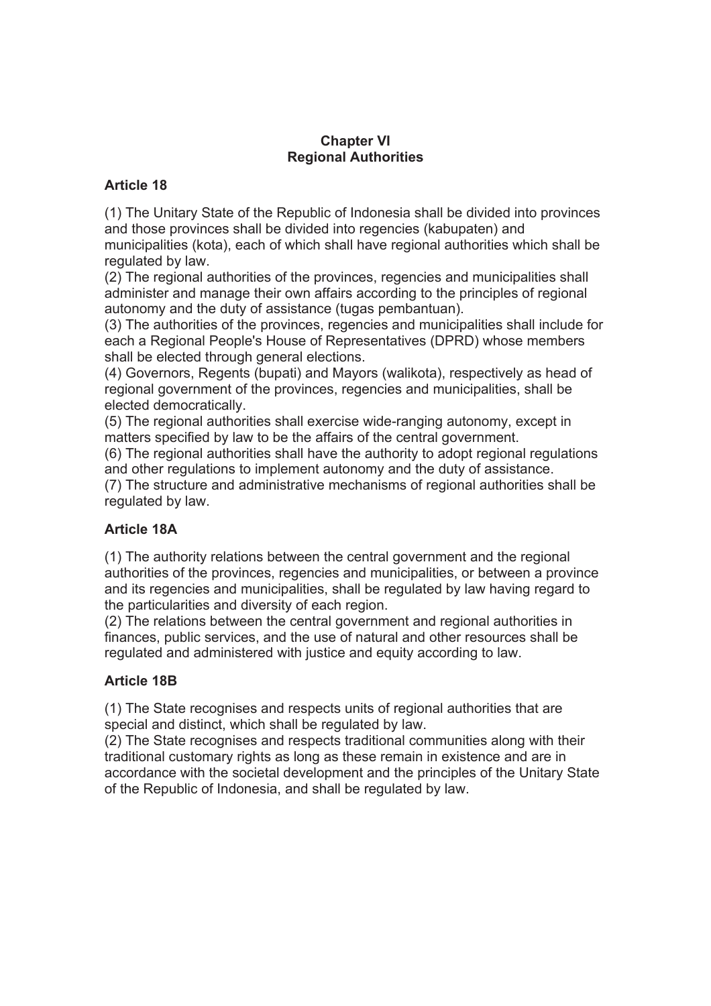### **Chapter VI Regional Authorities**

### **Article 18**

(1) The Unitary State of the Republic of Indonesia shall be divided into provinces and those provinces shall be divided into regencies (kabupaten) and municipalities (kota), each of which shall have regional authorities which shall be regulated by law.

(2) The regional authorities of the provinces, regencies and municipalities shall administer and manage their own affairs according to the principles of regional autonomy and the duty of assistance (tugas pembantuan).

(3) The authorities of the provinces, regencies and municipalities shall include for each a Regional People's House of Representatives (DPRD) whose members shall be elected through general elections.

(4) Governors, Regents (bupati) and Mayors (walikota), respectively as head of regional government of the provinces, regencies and municipalities, shall be elected democratically.

(5) The regional authorities shall exercise wide-ranging autonomy, except in matters specified by law to be the affairs of the central government.

(6) The regional authorities shall have the authority to adopt regional regulations and other regulations to implement autonomy and the duty of assistance.

(7) The structure and administrative mechanisms of regional authorities shall be regulated by law.

# **Article 18A**

(1) The authority relations between the central government and the regional authorities of the provinces, regencies and municipalities, or between a province and its regencies and municipalities, shall be regulated by law having regard to the particularities and diversity of each region.

(2) The relations between the central government and regional authorities in finances, public services, and the use of natural and other resources shall be regulated and administered with justice and equity according to law.

### **Article 18B**

(1) The State recognises and respects units of regional authorities that are special and distinct, which shall be regulated by law.

(2) The State recognises and respects traditional communities along with their traditional customary rights as long as these remain in existence and are in accordance with the societal development and the principles of the Unitary State of the Republic of Indonesia, and shall be regulated by law.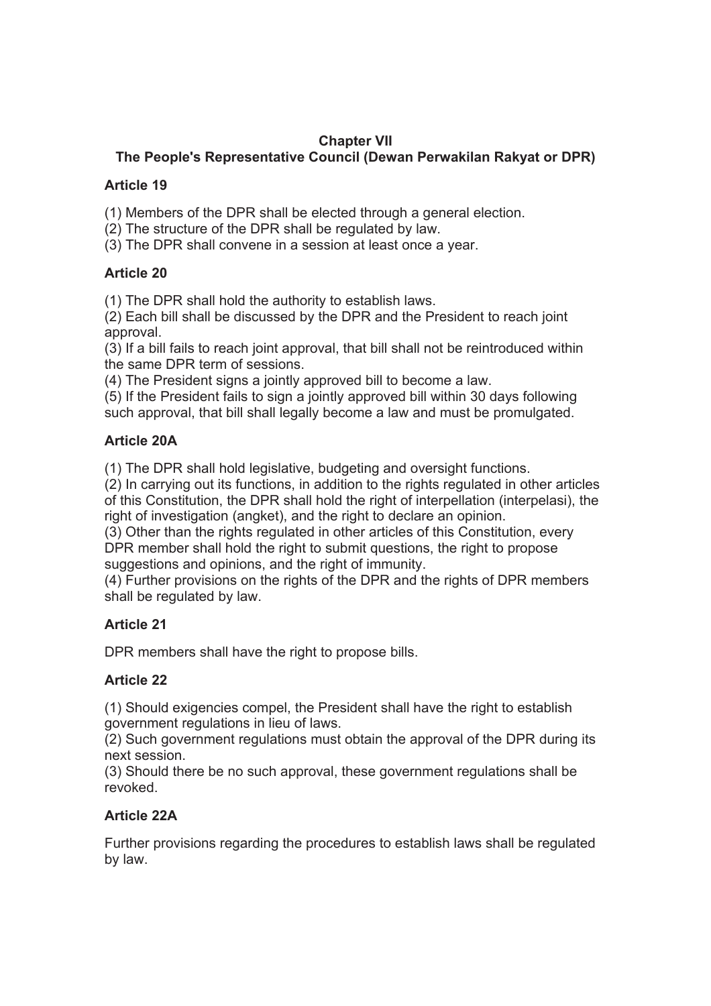# **Chapter VII**

# **The People's Representative Council (Dewan Perwakilan Rakyat or DPR)**

## **Article 19**

(1) Members of the DPR shall be elected through a general election.

- (2) The structure of the DPR shall be regulated by law.
- (3) The DPR shall convene in a session at least once a year.

# **Article 20**

(1) The DPR shall hold the authority to establish laws.

(2) Each bill shall be discussed by the DPR and the President to reach joint approval.

(3) If a bill fails to reach joint approval, that bill shall not be reintroduced within the same DPR term of sessions.

(4) The President signs a jointly approved bill to become a law.

(5) If the President fails to sign a jointly approved bill within 30 days following such approval, that bill shall legally become a law and must be promulgated.

# **Article 20A**

(1) The DPR shall hold legislative, budgeting and oversight functions.

(2) In carrying out its functions, in addition to the rights regulated in other articles of this Constitution, the DPR shall hold the right of interpellation (interpelasi), the right of investigation (angket), and the right to declare an opinion.

(3) Other than the rights regulated in other articles of this Constitution, every DPR member shall hold the right to submit questions, the right to propose suggestions and opinions, and the right of immunity.

(4) Further provisions on the rights of the DPR and the rights of DPR members shall be regulated by law.

# **Article 21**

DPR members shall have the right to propose bills.

# **Article 22**

(1) Should exigencies compel, the President shall have the right to establish government regulations in lieu of laws.

(2) Such government regulations must obtain the approval of the DPR during its next session.

(3) Should there be no such approval, these government regulations shall be revoked.

# **Article 22A**

Further provisions regarding the procedures to establish laws shall be regulated by law.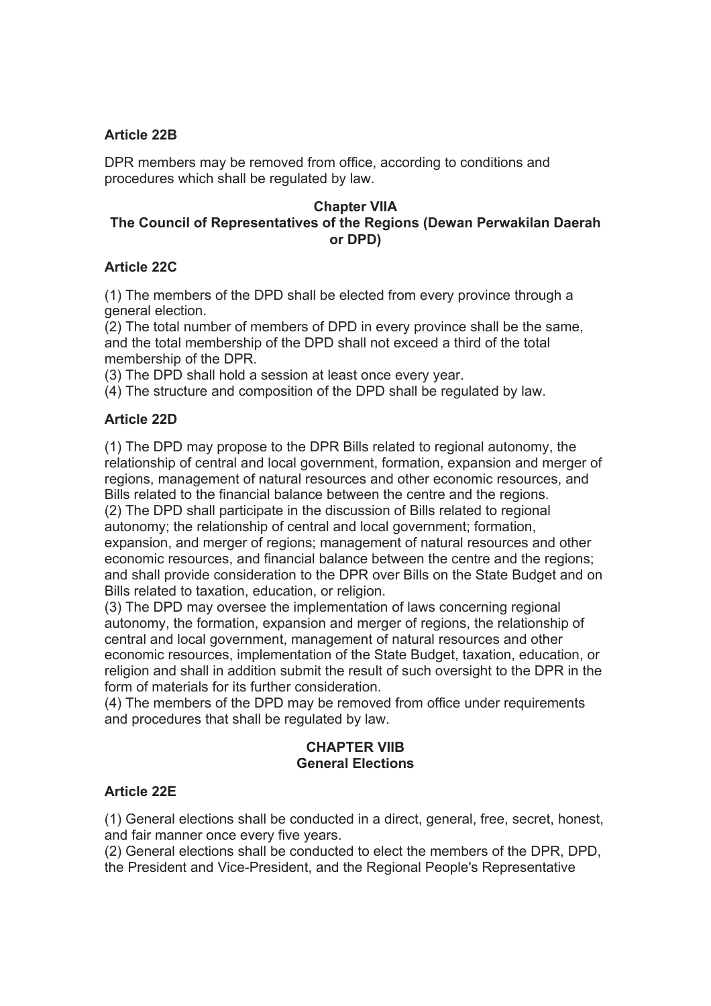## **Article 22B**

DPR members may be removed from office, according to conditions and procedures which shall be regulated by law.

### **Chapter VIIA The Council of Representatives of the Regions (Dewan Perwakilan Daerah or DPD)**

### **Article 22C**

(1) The members of the DPD shall be elected from every province through a general election.

(2) The total number of members of DPD in every province shall be the same, and the total membership of the DPD shall not exceed a third of the total membership of the DPR.

(3) The DPD shall hold a session at least once every year.

(4) The structure and composition of the DPD shall be regulated by law.

## **Article 22D**

(1) The DPD may propose to the DPR Bills related to regional autonomy, the relationship of central and local government, formation, expansion and merger of regions, management of natural resources and other economic resources, and Bills related to the financial balance between the centre and the regions. (2) The DPD shall participate in the discussion of Bills related to regional autonomy; the relationship of central and local government; formation, expansion, and merger of regions; management of natural resources and other economic resources, and financial balance between the centre and the regions; and shall provide consideration to the DPR over Bills on the State Budget and on Bills related to taxation, education, or religion.

(3) The DPD may oversee the implementation of laws concerning regional autonomy, the formation, expansion and merger of regions, the relationship of central and local government, management of natural resources and other economic resources, implementation of the State Budget, taxation, education, or religion and shall in addition submit the result of such oversight to the DPR in the form of materials for its further consideration.

(4) The members of the DPD may be removed from office under requirements and procedures that shall be regulated by law.

## **CHAPTER VIIB General Elections**

### **Article 22E**

(1) General elections shall be conducted in a direct, general, free, secret, honest, and fair manner once every five years.

(2) General elections shall be conducted to elect the members of the DPR, DPD, the President and Vice-President, and the Regional People's Representative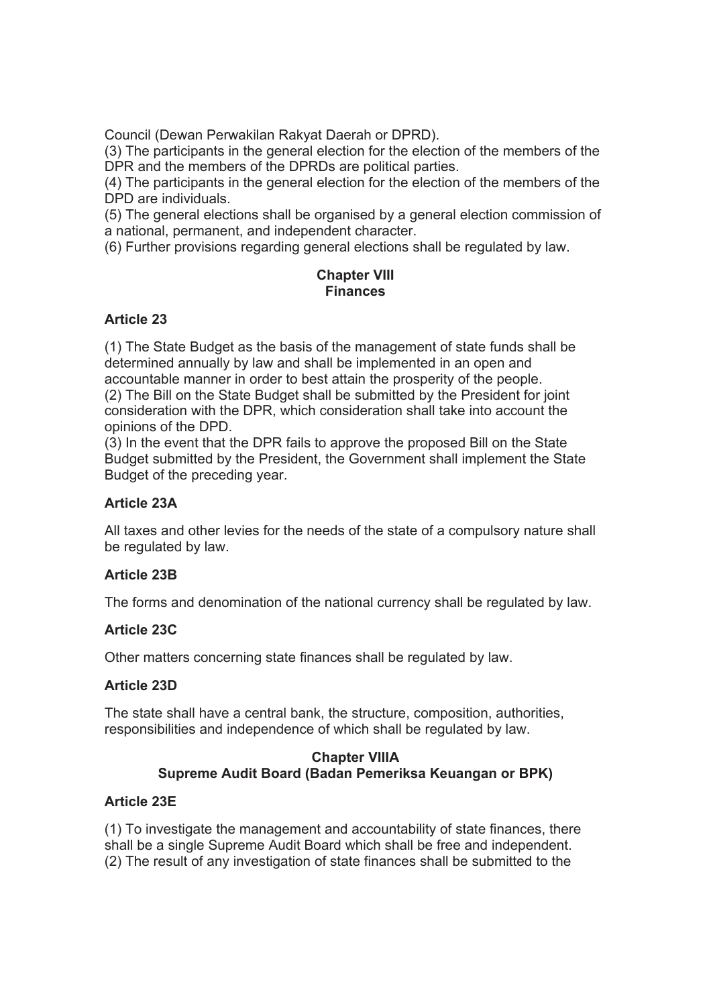Council (Dewan Perwakilan Rakyat Daerah or DPRD).

(3) The participants in the general election for the election of the members of the DPR and the members of the DPRDs are political parties.

(4) The participants in the general election for the election of the members of the DPD are individuals.

(5) The general elections shall be organised by a general election commission of a national, permanent, and independent character.

(6) Further provisions regarding general elections shall be regulated by law.

### **Chapter VIII Finances**

### **Article 23**

(1) The State Budget as the basis of the management of state funds shall be determined annually by law and shall be implemented in an open and accountable manner in order to best attain the prosperity of the people. (2) The Bill on the State Budget shall be submitted by the President for joint consideration with the DPR, which consideration shall take into account the opinions of the DPD.

(3) In the event that the DPR fails to approve the proposed Bill on the State Budget submitted by the President, the Government shall implement the State Budget of the preceding year.

### **Article 23A**

All taxes and other levies for the needs of the state of a compulsory nature shall be regulated by law.

### **Article 23B**

The forms and denomination of the national currency shall be regulated by law.

### **Article 23C**

Other matters concerning state finances shall be regulated by law.

#### **Article 23D**

The state shall have a central bank, the structure, composition, authorities, responsibilities and independence of which shall be regulated by law.

### **Chapter VIIIA Supreme Audit Board (Badan Pemeriksa Keuangan or BPK)**

#### **Article 23E**

(1) To investigate the management and accountability of state finances, there shall be a single Supreme Audit Board which shall be free and independent. (2) The result of any investigation of state finances shall be submitted to the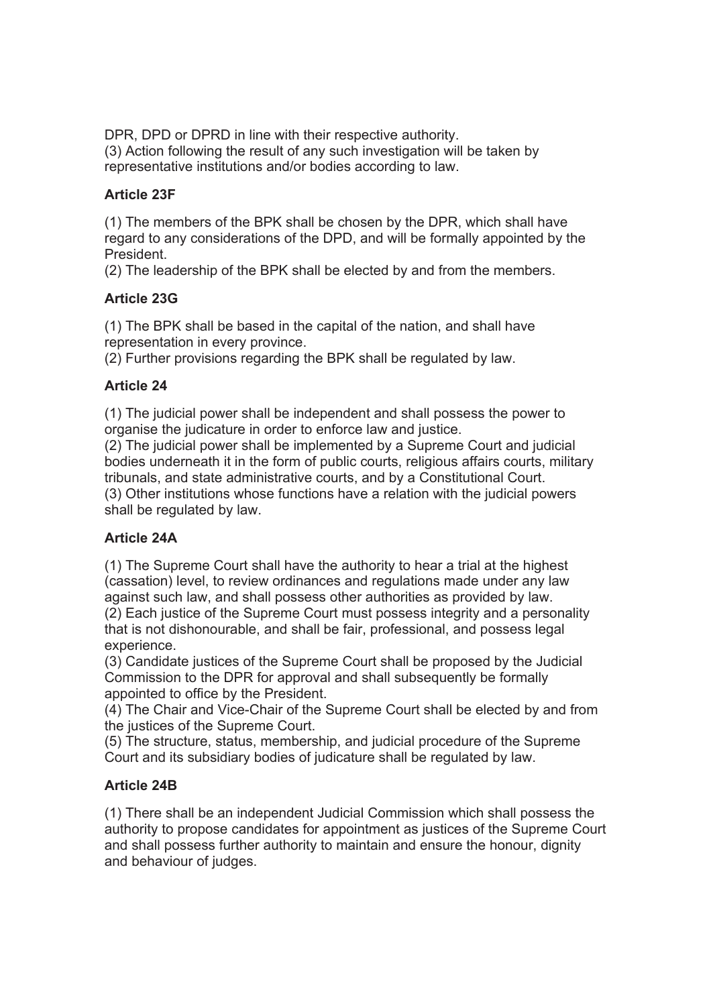DPR, DPD or DPRD in line with their respective authority. (3) Action following the result of any such investigation will be taken by representative institutions and/or bodies according to law.

## **Article 23F**

(1) The members of the BPK shall be chosen by the DPR, which shall have regard to any considerations of the DPD, and will be formally appointed by the President.

(2) The leadership of the BPK shall be elected by and from the members.

## **Article 23G**

(1) The BPK shall be based in the capital of the nation, and shall have representation in every province.

(2) Further provisions regarding the BPK shall be regulated by law.

## **Article 24**

(1) The judicial power shall be independent and shall possess the power to organise the judicature in order to enforce law and justice.

(2) The judicial power shall be implemented by a Supreme Court and judicial bodies underneath it in the form of public courts, religious affairs courts, military tribunals, and state administrative courts, and by a Constitutional Court. (3) Other institutions whose functions have a relation with the judicial powers shall be regulated by law.

# **Article 24A**

(1) The Supreme Court shall have the authority to hear a trial at the highest (cassation) level, to review ordinances and regulations made under any law against such law, and shall possess other authorities as provided by law. (2) Each justice of the Supreme Court must possess integrity and a personality that is not dishonourable, and shall be fair, professional, and possess legal experience.

(3) Candidate justices of the Supreme Court shall be proposed by the Judicial Commission to the DPR for approval and shall subsequently be formally appointed to office by the President.

(4) The Chair and Vice-Chair of the Supreme Court shall be elected by and from the justices of the Supreme Court.

(5) The structure, status, membership, and judicial procedure of the Supreme Court and its subsidiary bodies of judicature shall be regulated by law.

### **Article 24B**

(1) There shall be an independent Judicial Commission which shall possess the authority to propose candidates for appointment as justices of the Supreme Court and shall possess further authority to maintain and ensure the honour, dignity and behaviour of judges.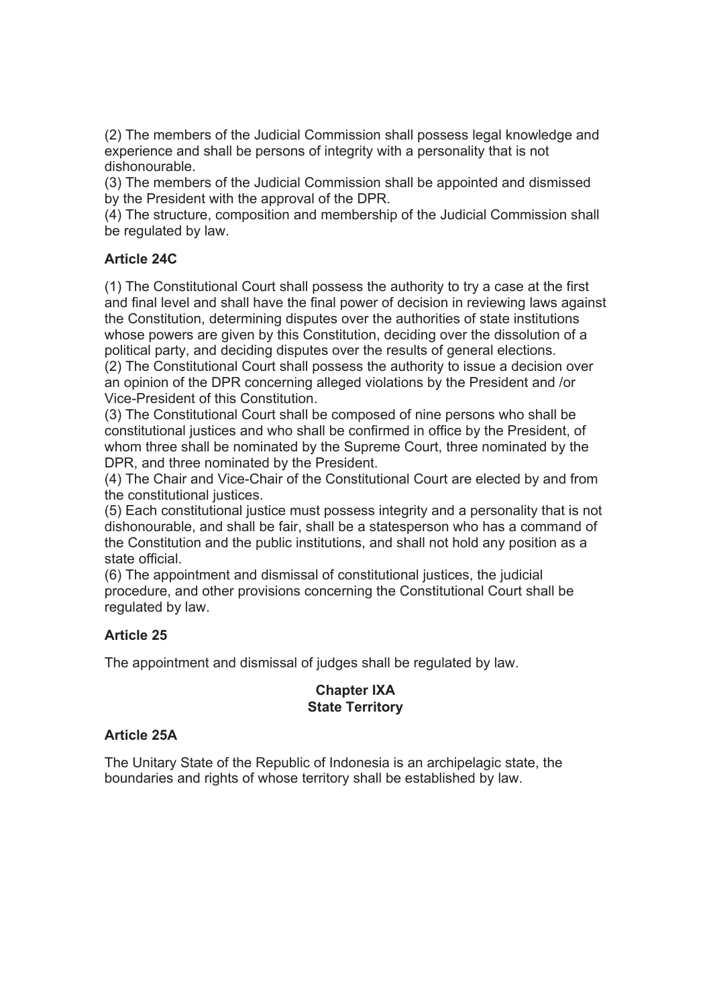(2) The members of the Judicial Commission shall possess legal knowledge and experience and shall be persons of integrity with a personality that is not dishonourable.

(3) The members of the Judicial Commission shall be appointed and dismissed by the President with the approval of the DPR.

(4) The structure, composition and membership of the Judicial Commission shall be regulated by law.

## **Article 24C**

(1) The Constitutional Court shall possess the authority to try a case at the first and final level and shall have the final power of decision in reviewing laws against the Constitution, determining disputes over the authorities of state institutions whose powers are given by this Constitution, deciding over the dissolution of a political party, and deciding disputes over the results of general elections.

(2) The Constitutional Court shall possess the authority to issue a decision over an opinion of the DPR concerning alleged violations by the President and /or Vice-President of this Constitution.

(3) The Constitutional Court shall be composed of nine persons who shall be constitutional justices and who shall be confirmed in office by the President, of whom three shall be nominated by the Supreme Court, three nominated by the DPR, and three nominated by the President.

(4) The Chair and Vice-Chair of the Constitutional Court are elected by and from the constitutional justices.

(5) Each constitutional justice must possess integrity and a personality that is not dishonourable, and shall be fair, shall be a statesperson who has a command of the Constitution and the public institutions, and shall not hold any position as a state official.

(6) The appointment and dismissal of constitutional justices, the judicial procedure, and other provisions concerning the Constitutional Court shall be regulated by law.

### **Article 25**

The appointment and dismissal of judges shall be regulated by law.

## **Chapter IXA State Territory**

### **Article 25A**

The Unitary State of the Republic of Indonesia is an archipelagic state, the boundaries and rights of whose territory shall be established by law.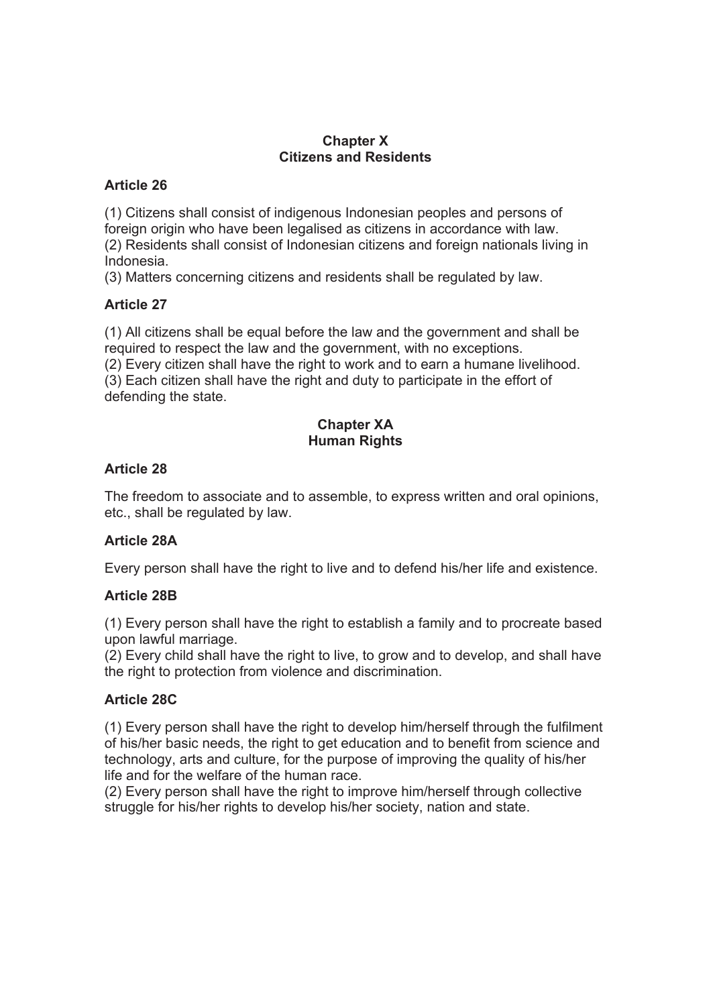#### **Chapter X Citizens and Residents**

#### **Article 26**

(1) Citizens shall consist of indigenous Indonesian peoples and persons of foreign origin who have been legalised as citizens in accordance with law. (2) Residents shall consist of Indonesian citizens and foreign nationals living in Indonesia.

(3) Matters concerning citizens and residents shall be regulated by law.

### **Article 27**

(1) All citizens shall be equal before the law and the government and shall be required to respect the law and the government, with no exceptions. (2) Every citizen shall have the right to work and to earn a humane livelihood. (3) Each citizen shall have the right and duty to participate in the effort of

defending the state.

# **Chapter XA Human Rights**

## **Article 28**

The freedom to associate and to assemble, to express written and oral opinions, etc., shall be regulated by law.

# **Article 28A**

Every person shall have the right to live and to defend his/her life and existence.

# **Article 28B**

(1) Every person shall have the right to establish a family and to procreate based upon lawful marriage.

(2) Every child shall have the right to live, to grow and to develop, and shall have the right to protection from violence and discrimination.

# **Article 28C**

(1) Every person shall have the right to develop him/herself through the fulfilment of his/her basic needs, the right to get education and to benefit from science and technology, arts and culture, for the purpose of improving the quality of his/her life and for the welfare of the human race.

(2) Every person shall have the right to improve him/herself through collective struggle for his/her rights to develop his/her society, nation and state.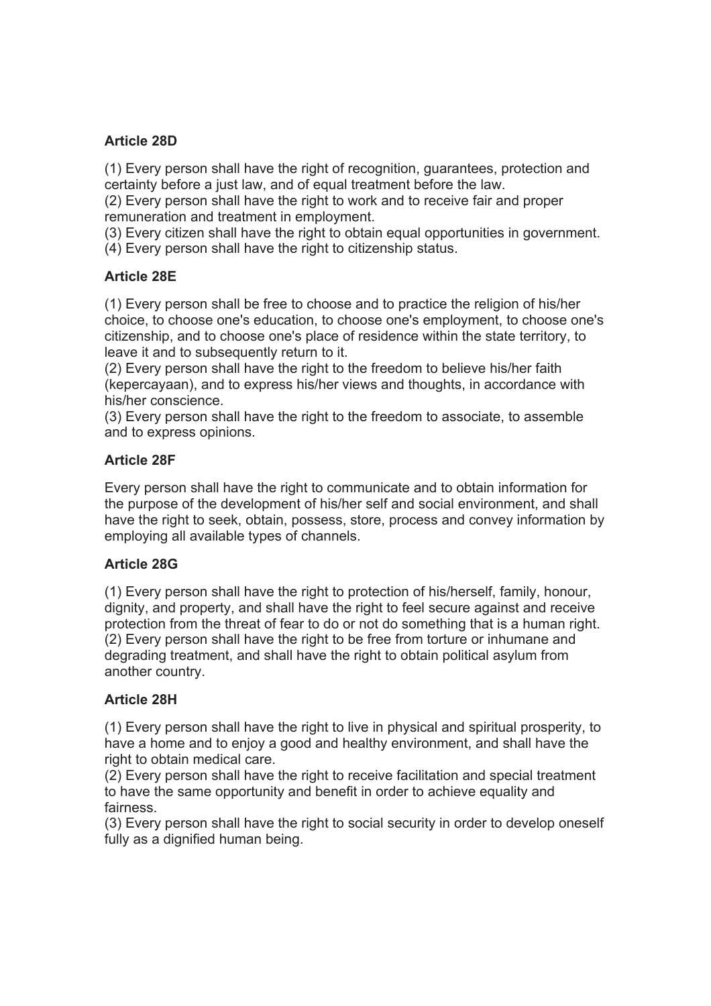### **Article 28D**

(1) Every person shall have the right of recognition, guarantees, protection and certainty before a just law, and of equal treatment before the law.

(2) Every person shall have the right to work and to receive fair and proper remuneration and treatment in employment.

(3) Every citizen shall have the right to obtain equal opportunities in government.

(4) Every person shall have the right to citizenship status.

# **Article 28E**

(1) Every person shall be free to choose and to practice the religion of his/her choice, to choose one's education, to choose one's employment, to choose one's citizenship, and to choose one's place of residence within the state territory, to leave it and to subsequently return to it.

(2) Every person shall have the right to the freedom to believe his/her faith (kepercayaan), and to express his/her views and thoughts, in accordance with his/her conscience.

(3) Every person shall have the right to the freedom to associate, to assemble and to express opinions.

## **Article 28F**

Every person shall have the right to communicate and to obtain information for the purpose of the development of his/her self and social environment, and shall have the right to seek, obtain, possess, store, process and convey information by employing all available types of channels.

# **Article 28G**

(1) Every person shall have the right to protection of his/herself, family, honour, dignity, and property, and shall have the right to feel secure against and receive protection from the threat of fear to do or not do something that is a human right. (2) Every person shall have the right to be free from torture or inhumane and degrading treatment, and shall have the right to obtain political asylum from another country.

# **Article 28H**

(1) Every person shall have the right to live in physical and spiritual prosperity, to have a home and to enjoy a good and healthy environment, and shall have the right to obtain medical care.

(2) Every person shall have the right to receive facilitation and special treatment to have the same opportunity and benefit in order to achieve equality and fairness.

(3) Every person shall have the right to social security in order to develop oneself fully as a dignified human being.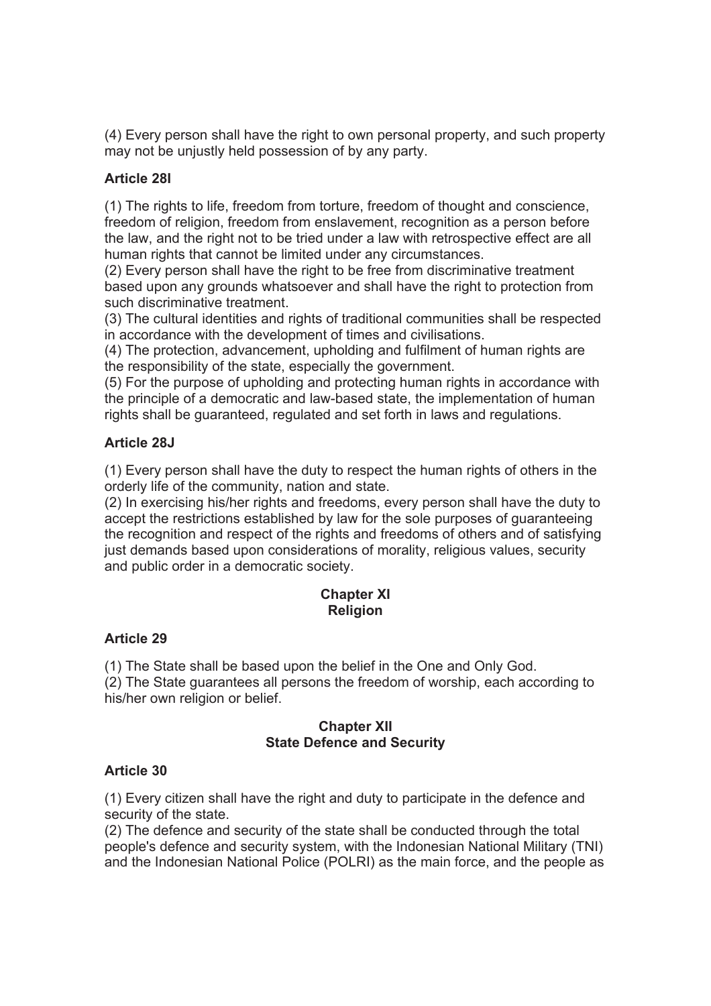(4) Every person shall have the right to own personal property, and such property may not be unjustly held possession of by any party.

### **Article 28I**

(1) The rights to life, freedom from torture, freedom of thought and conscience, freedom of religion, freedom from enslavement, recognition as a person before the law, and the right not to be tried under a law with retrospective effect are all human rights that cannot be limited under any circumstances.

(2) Every person shall have the right to be free from discriminative treatment based upon any grounds whatsoever and shall have the right to protection from such discriminative treatment.

(3) The cultural identities and rights of traditional communities shall be respected in accordance with the development of times and civilisations.

(4) The protection, advancement, upholding and fulfilment of human rights are the responsibility of the state, especially the government.

(5) For the purpose of upholding and protecting human rights in accordance with the principle of a democratic and law-based state, the implementation of human rights shall be guaranteed, regulated and set forth in laws and regulations.

### **Article 28J**

(1) Every person shall have the duty to respect the human rights of others in the orderly life of the community, nation and state.

(2) In exercising his/her rights and freedoms, every person shall have the duty to accept the restrictions established by law for the sole purposes of guaranteeing the recognition and respect of the rights and freedoms of others and of satisfying just demands based upon considerations of morality, religious values, security and public order in a democratic society.

### **Chapter XI Religion**

#### **Article 29**

(1) The State shall be based upon the belief in the One and Only God. (2) The State guarantees all persons the freedom of worship, each according to

his/her own religion or belief.

## **Chapter XII State Defence and Security**

### **Article 30**

(1) Every citizen shall have the right and duty to participate in the defence and security of the state.

(2) The defence and security of the state shall be conducted through the total people's defence and security system, with the Indonesian National Military (TNI) and the Indonesian National Police (POLRI) as the main force, and the people as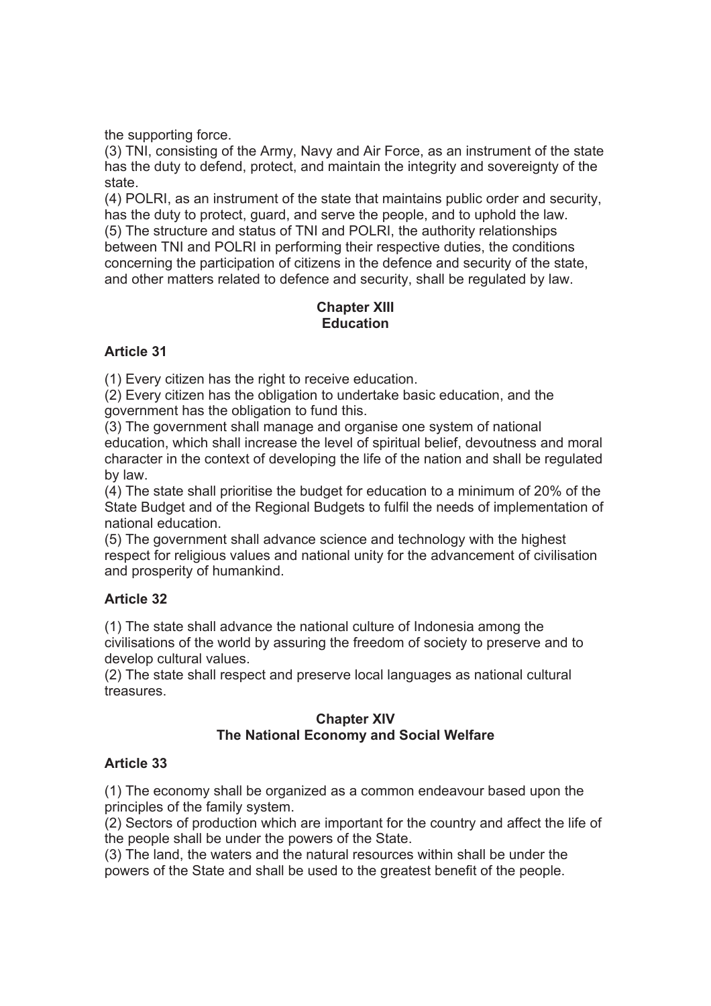the supporting force.

(3) TNI, consisting of the Army, Navy and Air Force, as an instrument of the state has the duty to defend, protect, and maintain the integrity and sovereignty of the state.

(4) POLRI, as an instrument of the state that maintains public order and security, has the duty to protect, guard, and serve the people, and to uphold the law. (5) The structure and status of TNI and POLRI, the authority relationships between TNI and POLRI in performing their respective duties, the conditions concerning the participation of citizens in the defence and security of the state, and other matters related to defence and security, shall be regulated by law.

## **Chapter XIII Education**

### **Article 31**

(1) Every citizen has the right to receive education.

(2) Every citizen has the obligation to undertake basic education, and the government has the obligation to fund this.

(3) The government shall manage and organise one system of national education, which shall increase the level of spiritual belief, devoutness and moral character in the context of developing the life of the nation and shall be regulated by law.

(4) The state shall prioritise the budget for education to a minimum of 20% of the State Budget and of the Regional Budgets to fulfil the needs of implementation of national education.

(5) The government shall advance science and technology with the highest respect for religious values and national unity for the advancement of civilisation and prosperity of humankind.

# **Article 32**

(1) The state shall advance the national culture of Indonesia among the civilisations of the world by assuring the freedom of society to preserve and to develop cultural values.

(2) The state shall respect and preserve local languages as national cultural treasures.

## **Chapter XIV The National Economy and Social Welfare**

### **Article 33**

(1) The economy shall be organized as a common endeavour based upon the principles of the family system.

(2) Sectors of production which are important for the country and affect the life of the people shall be under the powers of the State.

(3) The land, the waters and the natural resources within shall be under the powers of the State and shall be used to the greatest benefit of the people.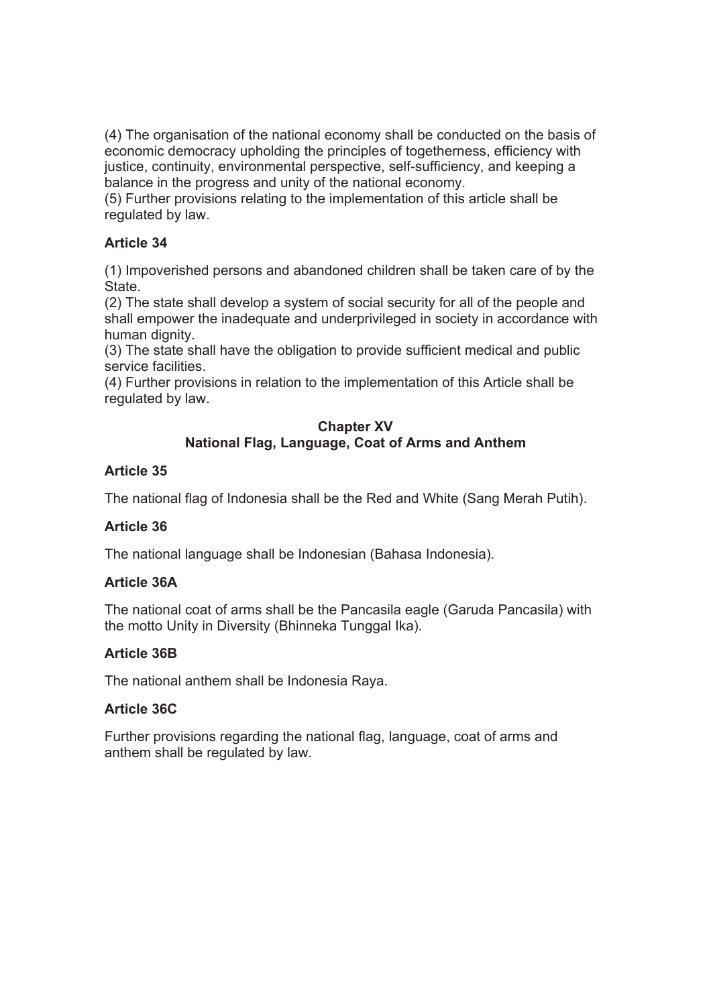(4) The organisation of the national economy shall be conducted on the basis of economic democracy upholding the principles of togetherness, efficiency with justice, continuity, environmental perspective, self-sufficiency, and keeping a balance in the progress and unity of the national economy.

(5) Further provisions relating to the implementation of this article shall be regulated by law.

### **Article 34**

(1) Impoverished persons and abandoned children shall be taken care of by the State.

(2) The state shall develop a system of social security for all of the people and shall empower the inadequate and underprivileged in society in accordance with human dignity.

(3) The state shall have the obligation to provide sufficient medical and public service facilities.

(4) Further provisions in relation to the implementation of this Article shall be regulated by law.

### **Chapter XV National Flag, Language, Coat of Arms and Anthem**

## **Article 35**

The national flag of Indonesia shall be the Red and White (Sang Merah Putih).

# **Article 36**

The national language shall be Indonesian (Bahasa Indonesia).

# **Article 36A**

The national coat of arms shall be the Pancasila eagle (Garuda Pancasila) with the motto Unity in Diversity (Bhinneka Tunggal Ika).

# **Article 36B**

The national anthem shall be Indonesia Raya.

### **Article 36C**

Further provisions regarding the national flag, language, coat of arms and anthem shall be regulated by law.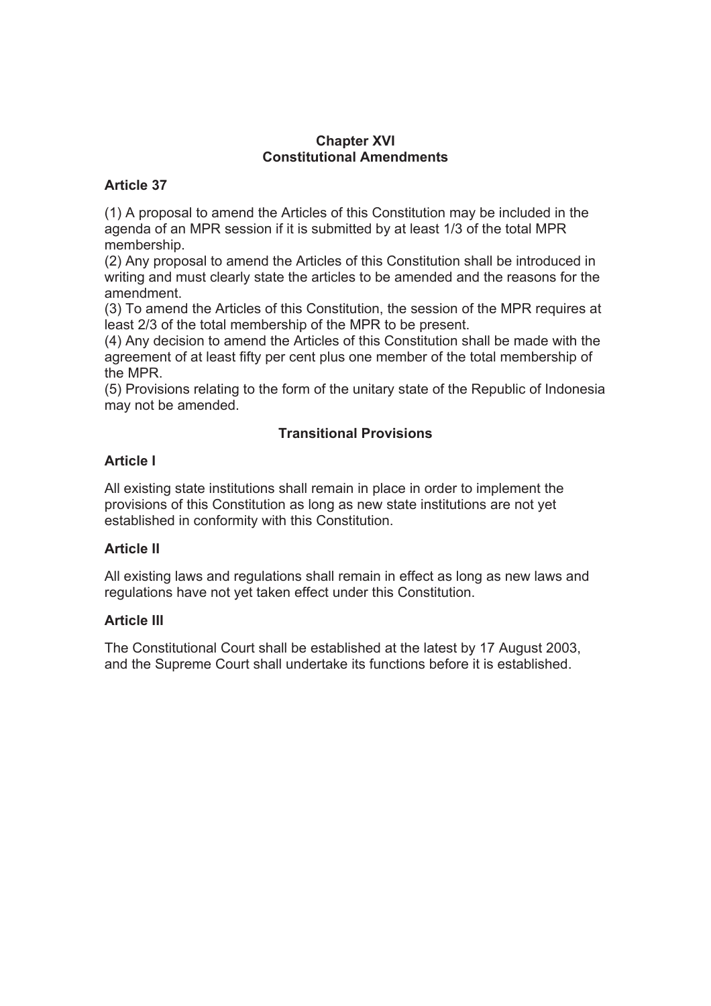### **Chapter XVI Constitutional Amendments**

### **Article 37**

(1) A proposal to amend the Articles of this Constitution may be included in the agenda of an MPR session if it is submitted by at least 1/3 of the total MPR membership.

(2) Any proposal to amend the Articles of this Constitution shall be introduced in writing and must clearly state the articles to be amended and the reasons for the amendment.

(3) To amend the Articles of this Constitution, the session of the MPR requires at least 2/3 of the total membership of the MPR to be present.

(4) Any decision to amend the Articles of this Constitution shall be made with the agreement of at least fifty per cent plus one member of the total membership of the MPR.

(5) Provisions relating to the form of the unitary state of the Republic of Indonesia may not be amended.

# **Transitional Provisions**

# **Article I**

All existing state institutions shall remain in place in order to implement the provisions of this Constitution as long as new state institutions are not yet established in conformity with this Constitution.

# **Article II**

All existing laws and regulations shall remain in effect as long as new laws and regulations have not yet taken effect under this Constitution.

### **Article III**

The Constitutional Court shall be established at the latest by 17 August 2003, and the Supreme Court shall undertake its functions before it is established.